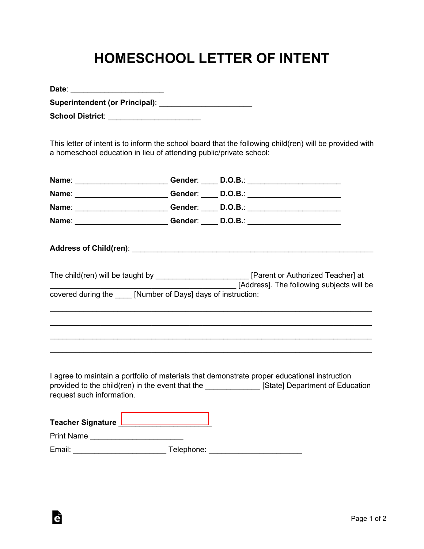## **HOMESCHOOL LETTER OF INTENT**

| Date:                                 |  |
|---------------------------------------|--|
| <b>Superintendent (or Principal):</b> |  |
| <b>School District:</b>               |  |

G

This letter of intent is to inform the school board that the following child(ren) will be provided with a homeschool education in lieu of attending public/private school:

|                                                                | Name: _________________________Gender: ______ D.O.B.: __________________________                                                                                                                 |
|----------------------------------------------------------------|--------------------------------------------------------------------------------------------------------------------------------------------------------------------------------------------------|
|                                                                | Name: _________________________Gender: _____ D.O.B.: ___________________________                                                                                                                 |
|                                                                | Name: __________________________Gender: _____ D.O.B.: __________________________                                                                                                                 |
|                                                                | Name: __________________________Gender: _____ D.O.B.: __________________________                                                                                                                 |
|                                                                |                                                                                                                                                                                                  |
|                                                                | The child(ren) will be taught by _______________________________[Parent or Authorized Teacher] at<br>[Address]. The following subjects will be                                                   |
| covered during the _____ [Number of Days] days of instruction: |                                                                                                                                                                                                  |
|                                                                |                                                                                                                                                                                                  |
|                                                                |                                                                                                                                                                                                  |
|                                                                |                                                                                                                                                                                                  |
| request such information.                                      | I agree to maintain a portfolio of materials that demonstrate proper educational instruction<br>provided to the child(ren) in the event that the _______________ [State] Department of Education |
| Teacher Signature _______________________                      |                                                                                                                                                                                                  |
| Print Name _______________________                             |                                                                                                                                                                                                  |
|                                                                |                                                                                                                                                                                                  |